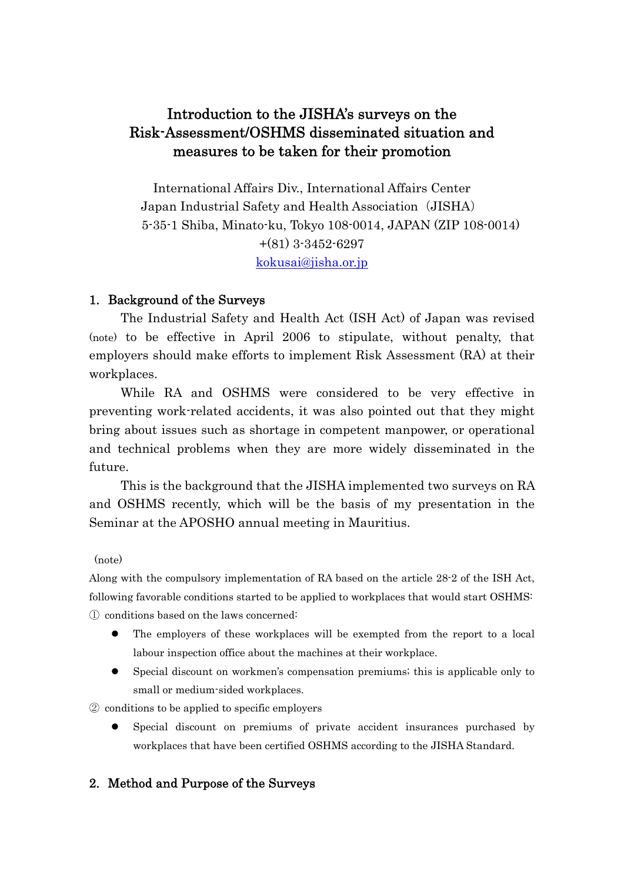# Introduction to the JISHA's surveys on the Risk-Assessment/OSHMS disseminated situation and measures to be taken for their promotion

International Affairs Div., International Affairs Center Japan Industrial Safety and Health Association (JISHA) 5-35-1 Shiba, Minato-ku, Tokyo 108-0014, JAPAN (ZIP 108-0014) +(81) 3-3452-6297 kokusai@jisha.or.jp

#### 1. Background of the Surveys

The Industrial Safety and Health Act (ISH Act) of Japan was revised (note) to be effective in April 2006 to stipulate, without penalty, that employers should make efforts to implement Risk Assessment (RA) at their workplaces.

While RA and OSHMS were considered to be very effective in preventing work-related accidents, it was also pointed out that they might bring about issues such as shortage in competent manpower, or operational and technical problems when they are more widely disseminated in the future.

This is the background that the JISHA implemented two surveys on RA and OSHMS recently, which will be the basis of my presentation in the Seminar at the APOSHO annual meeting in Mauritius.

#### (note)

Along with the compulsory implementation of RA based on the article 28-2 of the ISH Act, following favorable conditions started to be applied to workplaces that would start OSHMS: ① conditions based on the laws concerned:

- The employers of these workplaces will be exempted from the report to a local labour inspection office about the machines at their workplace.
- Special discount on workmen's compensation premiums; this is applicable only to small or medium-sided workplaces.

② conditions to be applied to specific employers

 Special discount on premiums of private accident insurances purchased by workplaces that have been certified OSHMS according to the JISHA Standard.

### 2. Method and Purpose of the Surveys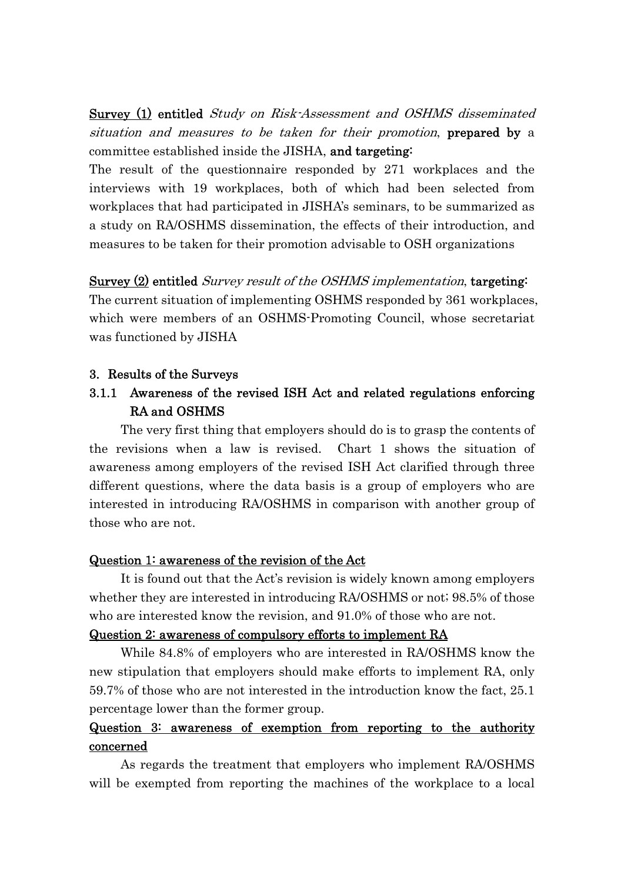Survey (1) entitled *Study on Risk-Assessment and OSHMS disseminated* situation and measures to be taken for their promotion, prepared by a committee established inside the JISHA, and targeting:

The result of the questionnaire responded by 271 workplaces and the interviews with 19 workplaces, both of which had been selected from workplaces that had participated in JISHA's seminars, to be summarized as a study on RA/OSHMS dissemination, the effects of their introduction, and measures to be taken for their promotion advisable to OSH organizations

### Survey (2) entitled *Survey result of the OSHMS implementation*, targeting:

The current situation of implementing OSHMS responded by 361 workplaces, which were members of an OSHMS-Promoting Council, whose secretariat was functioned by JISHA

### 3. Results of the Surveys

## 3.1.1 Awareness of the revised ISH Act and related regulations enforcing RA and OSHMS

The very first thing that employers should do is to grasp the contents of the revisions when a law is revised. Chart 1 shows the situation of awareness among employers of the revised ISH Act clarified through three different questions, where the data basis is a group of employers who are interested in introducing RA/OSHMS in comparison with another group of those who are not.

### Question 1: awareness of the revision of the Act

It is found out that the Act's revision is widely known among employers whether they are interested in introducing RA/OSHMS or not; 98.5% of those who are interested know the revision, and 91.0% of those who are not.

#### Question 2: awareness of compulsory efforts to implement RA

While 84.8% of employers who are interested in RA/OSHMS know the new stipulation that employers should make efforts to implement RA, only 59.7% of those who are not interested in the introduction know the fact, 25.1 percentage lower than the former group.

## Question 3: awareness of exemption from reporting to the authority concerned

As regards the treatment that employers who implement RA/OSHMS will be exempted from reporting the machines of the workplace to a local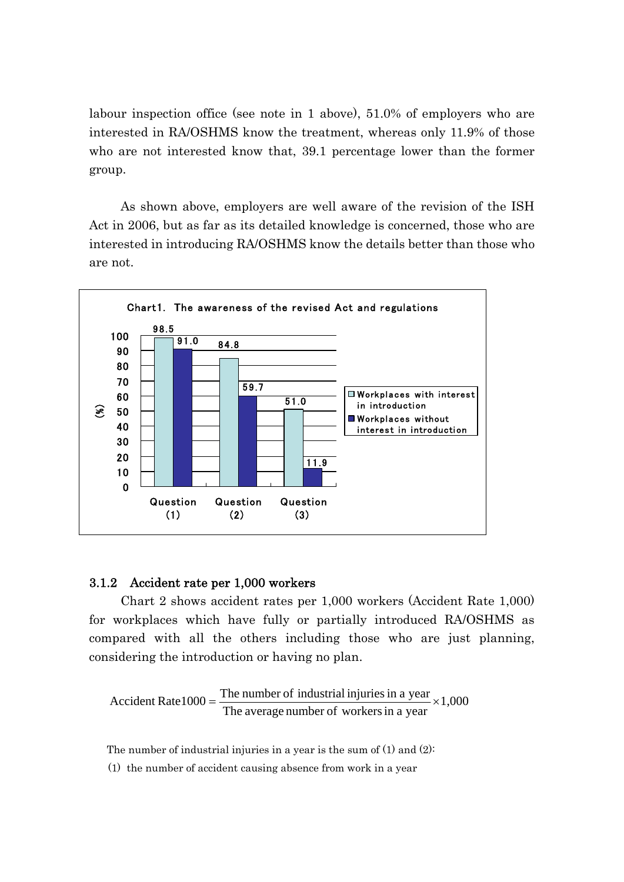labour inspection office (see note in 1 above), 51.0% of employers who are interested in RA/OSHMS know the treatment, whereas only 11.9% of those who are not interested know that, 39.1 percentage lower than the former group.

As shown above, employers are well aware of the revision of the ISH Act in 2006, but as far as its detailed knowledge is concerned, those who are interested in introducing RA/OSHMS know the details better than those who are not.



#### 3.1.2 Accident rate per 1,000 workers

Chart 2 shows accident rates per 1,000 workers (Accident Rate 1,000) for workplaces which have fully or partially introduced RA/OSHMS as compared with all the others including those who are just planning, considering the introduction or having no plan.

Accident Rate1000 =  $\frac{\text{The number of industrial injuries in a year}}{\text{The average number of workers in a year}} \times 1,000$ 

The number of industrial injuries in a year is the sum of (1) and (2):

(1) the number of accident causing absence from work in a year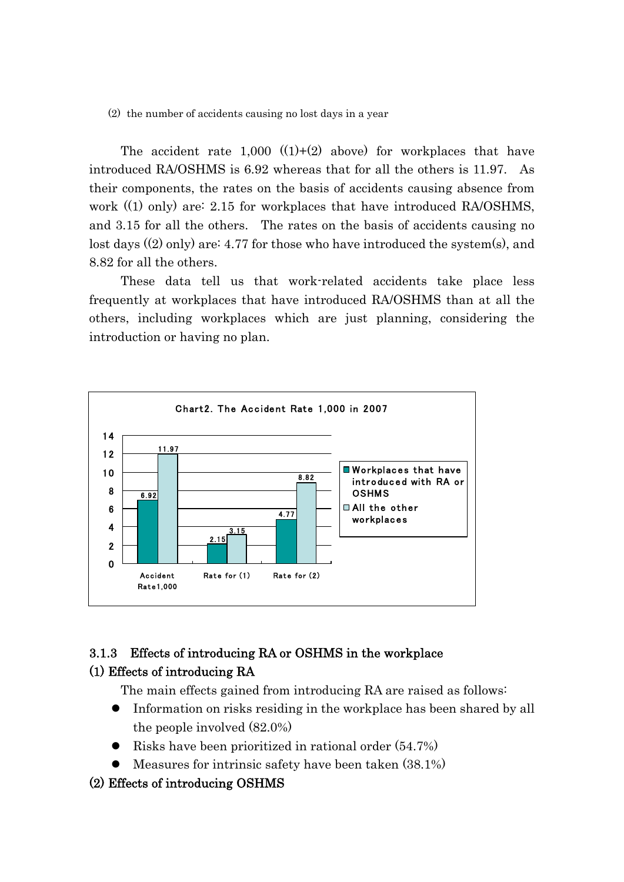(2) the number of accidents causing no lost days in a year

The accident rate  $1,000$   $((1)+(2)$  above) for workplaces that have introduced RA/OSHMS is 6.92 whereas that for all the others is 11.97. As their components, the rates on the basis of accidents causing absence from work ((1) only) are: 2.15 for workplaces that have introduced RA/OSHMS, and 3.15 for all the others. The rates on the basis of accidents causing no lost days ((2) only) are: 4.77 for those who have introduced the system(s), and 8.82 for all the others.

 These data tell us that work-related accidents take place less frequently at workplaces that have introduced RA/OSHMS than at all the others, including workplaces which are just planning, considering the introduction or having no plan.



### 3.1.3 Effects of introducing RA or OSHMS in the workplace (1) Effects of introducing RA

The main effects gained from introducing RA are raised as follows:

- Information on risks residing in the workplace has been shared by all the people involved (82.0%)
- Risks have been prioritized in rational order (54.7%)
- Measures for intrinsic safety have been taken (38.1%)
- (2) Effects of introducing OSHMS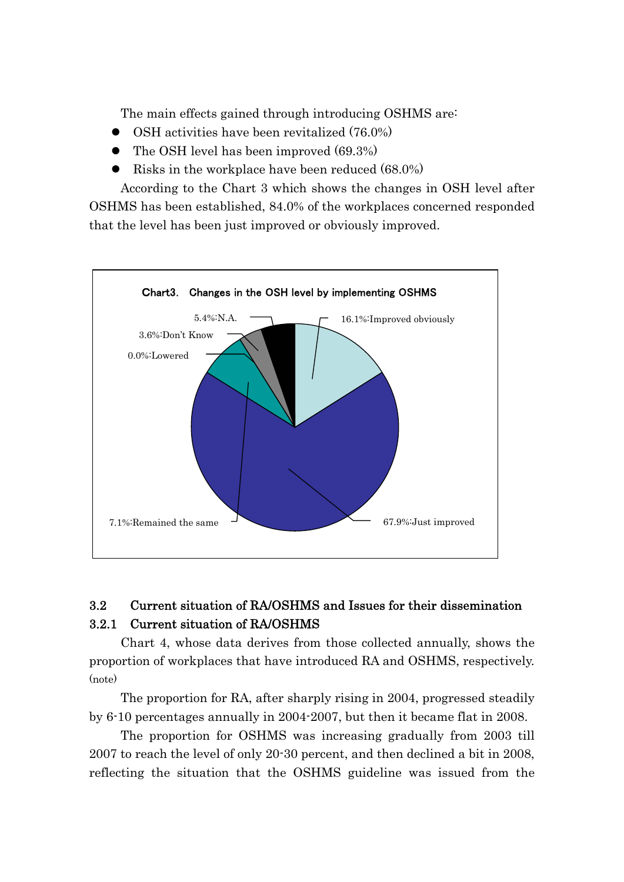The main effects gained through introducing OSHMS are:

- OSH activities have been revitalized (76.0%)
- The OSH level has been improved (69.3%)
- Risks in the workplace have been reduced (68.0%)

According to the Chart 3 which shows the changes in OSH level after OSHMS has been established, 84.0% of the workplaces concerned responded that the level has been just improved or obviously improved.



# 3.2 Current situation of RA/OSHMS and Issues for their dissemination 3.2.1 Current situation of RA/OSHMS

Chart 4, whose data derives from those collected annually, shows the proportion of workplaces that have introduced RA and OSHMS, respectively. (note)

The proportion for RA, after sharply rising in 2004, progressed steadily by 6-10 percentages annually in 2004-2007, but then it became flat in 2008.

The proportion for OSHMS was increasing gradually from 2003 till 2007 to reach the level of only 20-30 percent, and then declined a bit in 2008, reflecting the situation that the OSHMS guideline was issued from the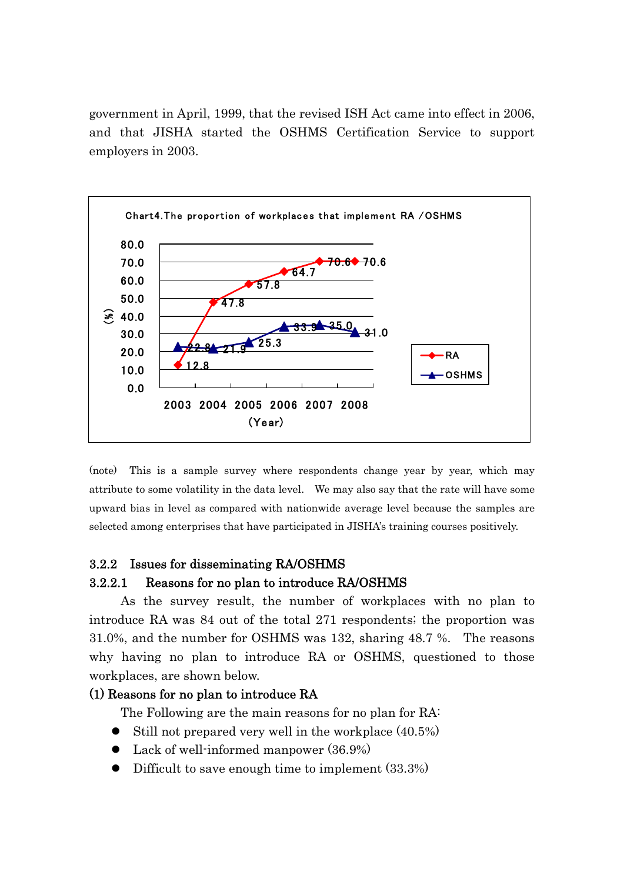government in April, 1999, that the revised ISH Act came into effect in 2006, and that JISHA started the OSHMS Certification Service to support employers in 2003.



(note) This is a sample survey where respondents change year by year, which may attribute to some volatility in the data level. We may also say that the rate will have some upward bias in level as compared with nationwide average level because the samples are selected among enterprises that have participated in JISHA's training courses positively.

### 3.2.2 Issues for disseminating RA/OSHMS

#### 3.2.2.1 Reasons for no plan to introduce RA/OSHMS

As the survey result, the number of workplaces with no plan to introduce RA was 84 out of the total 271 respondents; the proportion was 31.0%, and the number for OSHMS was 132, sharing 48.7 %. The reasons why having no plan to introduce RA or OSHMS, questioned to those workplaces, are shown below.

#### (1) Reasons for no plan to introduce RA

The Following are the main reasons for no plan for RA:

- $\bullet$  Still not prepared very well in the workplace  $(40.5\%)$
- Lack of well-informed manpower (36.9%)
- Difficult to save enough time to implement (33.3%)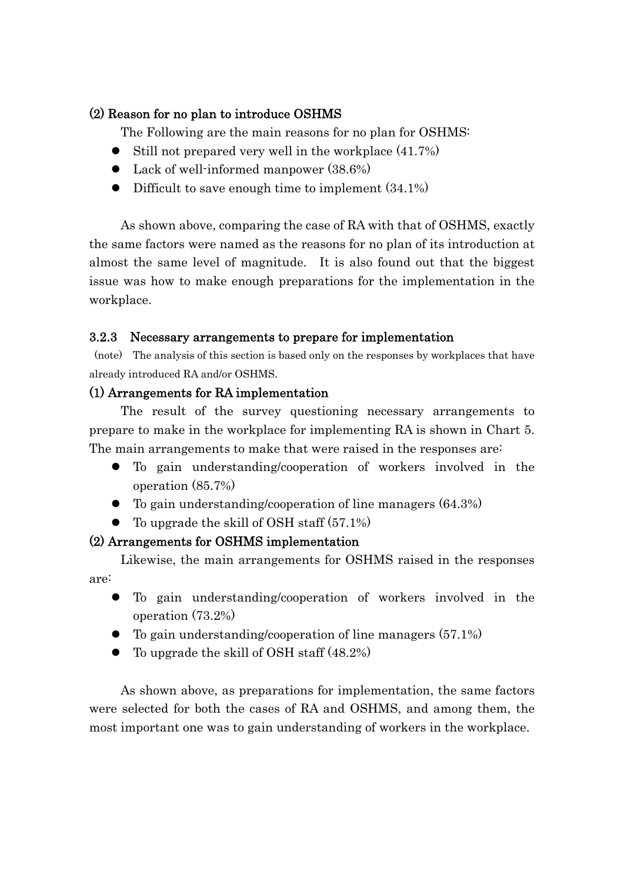### (2) Reason for no plan to introduce OSHMS

The Following are the main reasons for no plan for OSHMS:

- $\bullet$  Still not prepared very well in the workplace  $(41.7\%)$
- Lack of well-informed manpower (38.6%)
- Difficult to save enough time to implement  $(34.1\%)$

As shown above, comparing the case of RA with that of OSHMS, exactly the same factors were named as the reasons for no plan of its introduction at almost the same level of magnitude. It is also found out that the biggest issue was how to make enough preparations for the implementation in the workplace.

## 3.2.3 Necessary arrangements to prepare for implementation

 (note) The analysis of this section is based only on the responses by workplaces that have already introduced RA and/or OSHMS.

### (1) Arrangements for RA implementation

The result of the survey questioning necessary arrangements to prepare to make in the workplace for implementing RA is shown in Chart 5. The main arrangements to make that were raised in the responses are:

- To gain understanding/cooperation of workers involved in the operation (85.7%)
- To gain understanding/cooperation of line managers (64.3%)
- $\bullet$  To upgrade the skill of OSH staff (57.1%)

## (2) Arrangements for OSHMS implementation

Likewise, the main arrangements for OSHMS raised in the responses are:

- To gain understanding/cooperation of workers involved in the operation (73.2%)
- To gain understanding/cooperation of line managers (57.1%)
- To upgrade the skill of OSH staff (48.2%)

As shown above, as preparations for implementation, the same factors were selected for both the cases of RA and OSHMS, and among them, the most important one was to gain understanding of workers in the workplace.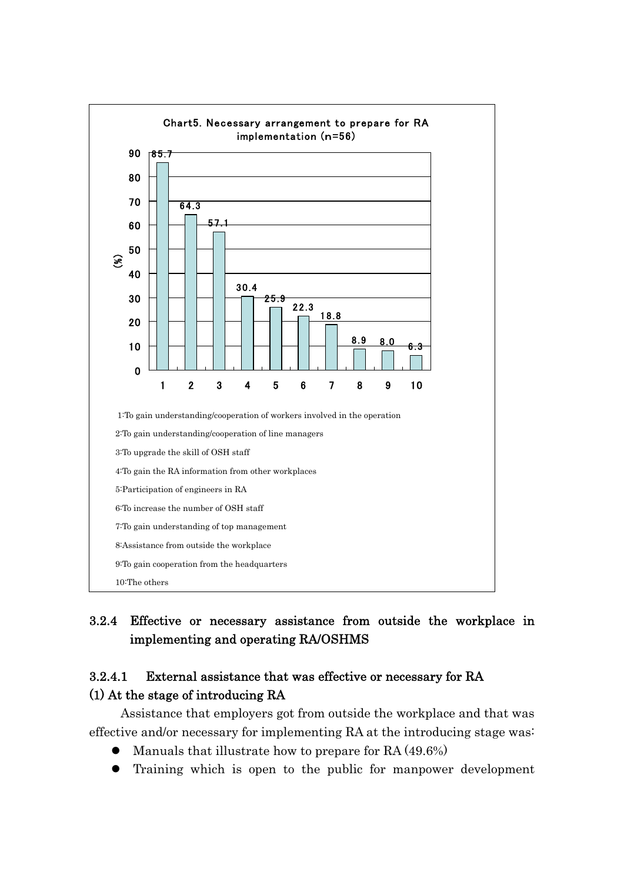

# 3.2.4 Effective or necessary assistance from outside the workplace in implementing and operating RA/OSHMS

## 3.2.4.1 External assistance that was effective or necessary for RA (1) At the stage of introducing RA

Assistance that employers got from outside the workplace and that was effective and/or necessary for implementing RA at the introducing stage was:

- Manuals that illustrate how to prepare for RA (49.6%)
- Training which is open to the public for manpower development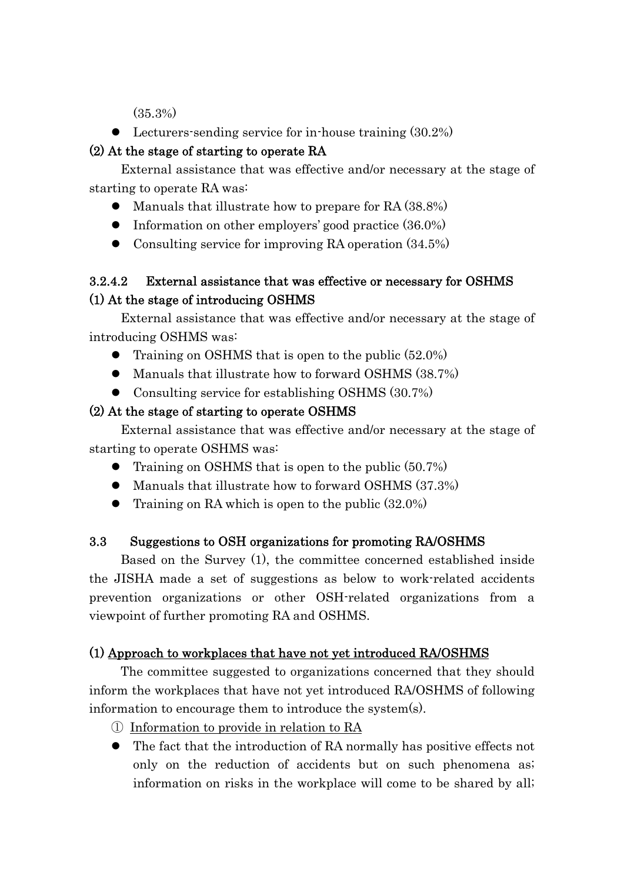(35.3%)

• Lecturers-sending service for in-house training (30.2%)

## (2) At the stage of starting to operate RA

External assistance that was effective and/or necessary at the stage of starting to operate RA was:

- Manuals that illustrate how to prepare for RA (38.8%)
- Information on other employers' good practice (36.0%)
- Consulting service for improving RA operation  $(34.5\%)$

# 3.2.4.2 External assistance that was effective or necessary for OSHMS (1) At the stage of introducing OSHMS

External assistance that was effective and/or necessary at the stage of introducing OSHMS was:

- Training on OSHMS that is open to the public (52.0%)
- Manuals that illustrate how to forward OSHMS (38.7%)
- Consulting service for establishing OSHMS (30.7%)

# (2) At the stage of starting to operate OSHMS

External assistance that was effective and/or necessary at the stage of starting to operate OSHMS was:

- Training on OSHMS that is open to the public (50.7%)
- Manuals that illustrate how to forward OSHMS (37.3%)
- Training on RA which is open to the public  $(32.0\%)$

# 3.3 Suggestions to OSH organizations for promoting RA/OSHMS

Based on the Survey (1), the committee concerned established inside the JISHA made a set of suggestions as below to work-related accidents prevention organizations or other OSH-related organizations from a viewpoint of further promoting RA and OSHMS.

# (1) Approach to workplaces that have not yet introduced RA/OSHMS

The committee suggested to organizations concerned that they should inform the workplaces that have not yet introduced RA/OSHMS of following information to encourage them to introduce the system(s).

- ① Information to provide in relation to RA
- The fact that the introduction of RA normally has positive effects not only on the reduction of accidents but on such phenomena as; information on risks in the workplace will come to be shared by all;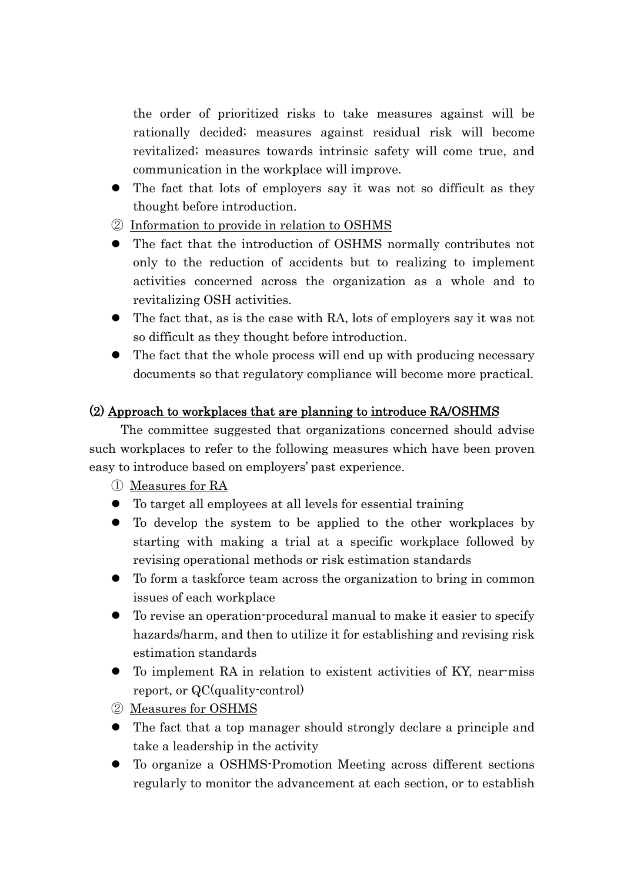the order of prioritized risks to take measures against will be rationally decided; measures against residual risk will become revitalized; measures towards intrinsic safety will come true, and communication in the workplace will improve.

- The fact that lots of employers say it was not so difficult as they thought before introduction.
- ② Information to provide in relation to OSHMS
- The fact that the introduction of OSHMS normally contributes not only to the reduction of accidents but to realizing to implement activities concerned across the organization as a whole and to revitalizing OSH activities.
- The fact that, as is the case with RA, lots of employers say it was not so difficult as they thought before introduction.
- The fact that the whole process will end up with producing necessary documents so that regulatory compliance will become more practical.

## (2) Approach to workplaces that are planning to introduce RA/OSHMS

The committee suggested that organizations concerned should advise such workplaces to refer to the following measures which have been proven easy to introduce based on employers' past experience.

① Measures for RA

- To target all employees at all levels for essential training
- To develop the system to be applied to the other workplaces by starting with making a trial at a specific workplace followed by revising operational methods or risk estimation standards
- To form a taskforce team across the organization to bring in common issues of each workplace
- To revise an operation-procedural manual to make it easier to specify hazards/harm, and then to utilize it for establishing and revising risk estimation standards
- To implement RA in relation to existent activities of KY, near-miss report, or QC(quality-control)
- ② Measures for OSHMS
- The fact that a top manager should strongly declare a principle and take a leadership in the activity
- To organize a OSHMS-Promotion Meeting across different sections regularly to monitor the advancement at each section, or to establish